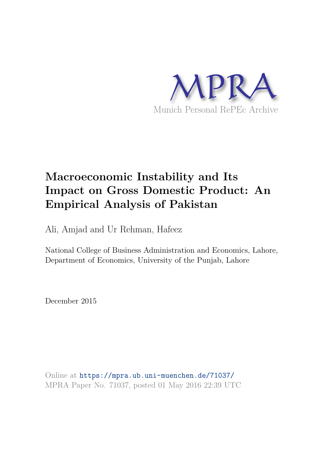

# **Macroeconomic Instability and Its Impact on Gross Domestic Product: An Empirical Analysis of Pakistan**

Ali, Amjad and Ur Rehman, Hafeez

National College of Business Administration and Economics, Lahore, Department of Economics, University of the Punjab, Lahore

December 2015

Online at https://mpra.ub.uni-muenchen.de/71037/ MPRA Paper No. 71037, posted 01 May 2016 22:39 UTC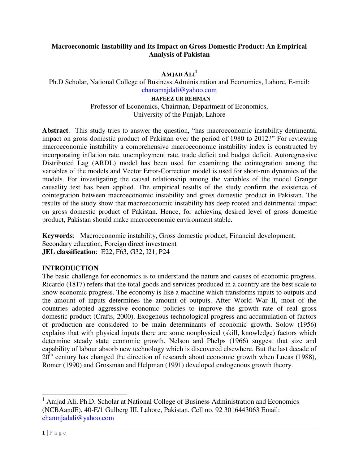## **Macroeconomic Instability and Its Impact on Gross Domestic Product: An Empirical Analysis of Pakistan**

**AMJAD ALI<sup>1</sup>**

Ph.D Scholar, National College of Business Administration and Economics, Lahore, E-mail: [chanamajdali@yahoo.com](mailto:chanamajdali@yahoo.com)

> **HAFEEZ UR REHMAN** Professor of Economics, Chairman, Department of Economics, University of the Punjab, Lahore

**Abstract**. This study tries to answer the question, "has macroeconomic instability detrimental impact on gross domestic product of Pakistan over the period of 1980 to 2012?" For reviewing macroeconomic instability a comprehensive macroeconomic instability index is constructed by incorporating inflation rate, unemployment rate, trade deficit and budget deficit. Autoregressive Distributed Lag (ARDL) model has been used for examining the cointegration among the variables of the models and Vector Error-Correction model is used for short-run dynamics of the models. For investigating the causal relationship among the variables of the model Granger causality test has been applied. The empirical results of the study confirm the existence of cointegration between macroeconomic instability and gross domestic product in Pakistan. The results of the study show that macroeconomic instability has deep rooted and detrimental impact on gross domestic product of Pakistan. Hence, for achieving desired level of gross domestic product, Pakistan should make macroeconomic environment stable.

**Keywords**: Macroeconomic instability, Gross domestic product, Financial development, Secondary education, Foreign direct investment **JEL classification**: E22, F63, G32, I21, P24

## **INTRODUCTION**

The basic challenge for economics is to understand the nature and causes of economic progress. Ricardo (1817) refers that the total goods and services produced in a country are the best scale to know economic progress. The economy is like a machine which transforms inputs to outputs and the amount of inputs determines the amount of outputs. After World War II, most of the countries adopted aggressive economic policies to improve the growth rate of real gross domestic product (Crafts, 2000). Exogenous technological progress and accumulation of factors of production are considered to be main determinants of economic growth. Solow (1956) explains that with physical inputs there are some nonphysical (skill, knowledge) factors which determine steady state economic growth. Nelson and Phelps (1966) suggest that size and capability of labour absorb new technology which is discovered elsewhere. But the last decade of  $20<sup>th</sup>$  century has changed the direction of research about economic growth when Lucas (1988), Romer (1990) and Grossman and Helpman (1991) developed endogenous growth theory.

<sup>&</sup>lt;sup>1</sup> Amjad Ali, Ph.D. Scholar at National College of Business Administration and Economics (NCBAandE), 40-E/1 Gulberg III, Lahore, Pakistan. Cell no. 92 3016443063 Email: [chanmjadali@yahoo.com](mailto:chanmjadali@yahoo.com)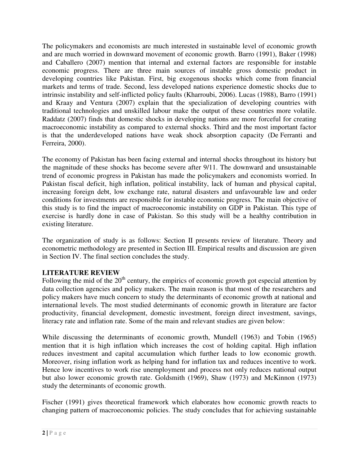The policymakers and economists are much interested in sustainable level of economic growth and are much worried in downward movement of economic growth. Barro (1991), Baker (1998) and Caballero (2007) mention that internal and external factors are responsible for instable economic progress. There are three main sources of instable gross domestic product in developing countries like Pakistan. First, big exogenous shocks which come from financial markets and terms of trade. Second, less developed nations experience domestic shocks due to intrinsic instability and self-inflicted policy faults (Kharroubi, 2006). Lucas (1988), Barro (1991) and Kraay and Ventura (2007) explain that the specialization of developing countries with traditional technologies and unskilled labour make the output of these countries more volatile. Raddatz (2007) finds that domestic shocks in developing nations are more forceful for creating macroeconomic instability as compared to external shocks. Third and the most important factor is that the underdeveloped nations have weak shock absorption capacity (De Ferranti and Ferreira, 2000).

The economy of Pakistan has been facing external and internal shocks throughout its history but the magnitude of these shocks has become severe after 9/11. The downward and unsustainable trend of economic progress in Pakistan has made the policymakers and economists worried. In Pakistan fiscal deficit, high inflation, political instability, lack of human and physical capital, increasing foreign debt, low exchange rate, natural disasters and unfavourable law and order conditions for investments are responsible for instable economic progress. The main objective of this study is to find the impact of macroeconomic instability on GDP in Pakistan. This type of exercise is hardly done in case of Pakistan. So this study will be a healthy contribution in existing literature.

The organization of study is as follows: Section II presents review of literature. Theory and econometric methodology are presented in Section III. Empirical results and discussion are given in Section IV. The final section concludes the study.

# **LITERATURE REVIEW**

Following the mid of the  $20<sup>th</sup>$  century, the empirics of economic growth got especial attention by data collection agencies and policy makers. The main reason is that most of the researchers and policy makers have much concern to study the determinants of economic growth at national and international levels. The most studied determinants of economic growth in literature are factor productivity, financial development, domestic investment, foreign direct investment, savings, literacy rate and inflation rate. Some of the main and relevant studies are given below:

While discussing the determinants of economic growth, Mundell (1963) and Tobin (1965) mention that it is high inflation which increases the cost of holding capital. High inflation reduces investment and capital accumulation which further leads to low economic growth. Moreover, rising inflation work as helping hand for inflation tax and reduces incentive to work. Hence low incentives to work rise unemployment and process not only reduces national output but also lower economic growth rate. Goldsmith (1969), Shaw (1973) and McKinnon (1973) study the determinants of economic growth.

Fischer (1991) gives theoretical framework which elaborates how economic growth reacts to changing pattern of macroeconomic policies. The study concludes that for achieving sustainable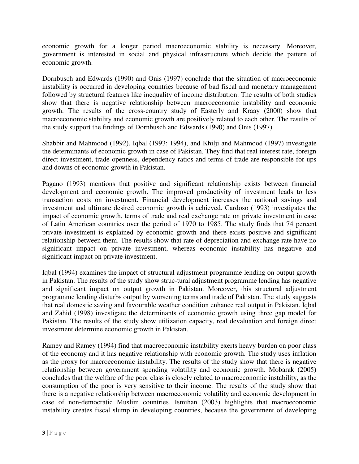economic growth for a longer period macroeconomic stability is necessary. Moreover, government is interested in social and physical infrastructure which decide the pattern of economic growth.

Dornbusch and Edwards (1990) and Onis (1997) conclude that the situation of macroeconomic instability is occurred in developing countries because of bad fiscal and monetary management followed by structural features like inequality of income distribution. The results of both studies show that there is negative relationship between macroeconomic instability and economic growth. The results of the cross-country study of Easterly and Kraay (2000) show that macroeconomic stability and economic growth are positively related to each other. The results of the study support the findings of Dornbusch and Edwards (1990) and Onis (1997).

Shabbir and Mahmood (1992), Iqbal (1993; 1994), and Khilji and Mahmood (1997) investigate the determinants of economic growth in case of Pakistan. They find that real interest rate, foreign direct investment, trade openness, dependency ratios and terms of trade are responsible for ups and downs of economic growth in Pakistan.

Pagano (1993) mentions that positive and significant relationship exists between financial development and economic growth. The improved productivity of investment leads to less transaction costs on investment. Financial development increases the national savings and investment and ultimate desired economic growth is achieved. Cardoso (1993) investigates the impact of economic growth, terms of trade and real exchange rate on private investment in case of Latin American countries over the period of 1970 to 1985. The study finds that 74 percent private investment is explained by economic growth and there exists positive and significant relationship between them. The results show that rate of depreciation and exchange rate have no significant impact on private investment, whereas economic instability has negative and significant impact on private investment.

Iqbal (1994) examines the impact of structural adjustment programme lending on output growth in Pakistan. The results of the study show struc-tural adjustment programme lending has negative and significant impact on output growth in Pakistan. Moreover, this structural adjustment programme lending disturbs output by worsening terms and trade of Pakistan. The study suggests that real domestic saving and favourable weather condition enhance real output in Pakistan. Iqbal and Zahid (1998) investigate the determinants of economic growth using three gap model for Pakistan. The results of the study show utilization capacity, real devaluation and foreign direct investment determine economic growth in Pakistan.

Ramey and Ramey (1994) find that macroeconomic instability exerts heavy burden on poor class of the economy and it has negative relationship with economic growth. The study uses inflation as the proxy for macroeconomic instability. The results of the study show that there is negative relationship between government spending volatility and economic growth. Mobarak (2005) concludes that the welfare of the poor class is closely related to macroeconomic instability, as the consumption of the poor is very sensitive to their income. The results of the study show that there is a negative relationship between macroeconomic volatility and economic development in case of non-democratic Muslim countries. Ismihan (2003) highlights that macroeconomic instability creates fiscal slump in developing countries, because the government of developing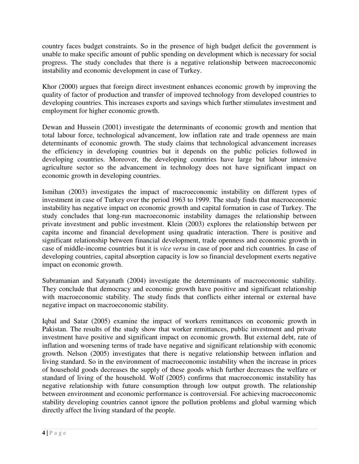country faces budget constraints. So in the presence of high budget deficit the government is unable to make specific amount of public spending on development which is necessary for social progress. The study concludes that there is a negative relationship between macroeconomic instability and economic development in case of Turkey.

Khor (2000) argues that foreign direct investment enhances economic growth by improving the quality of factor of production and transfer of improved technology from developed countries to developing countries. This increases exports and savings which further stimulates investment and employment for higher economic growth.

Dewan and Hussein (2001) investigate the determinants of economic growth and mention that total labour force, technological advancement, low inflation rate and trade openness are main determinants of economic growth. The study claims that technological advancement increases the efficiency in developing countries but it depends on the public policies followed in developing countries. Moreover, the developing countries have large but labour intensive agriculture sector so the advancement in technology does not have significant impact on economic growth in developing countries.

Ismihan (2003) investigates the impact of macroeconomic instability on different types of investment in case of Turkey over the period 1963 to 1999. The study finds that macroeconomic instability has negative impact on economic growth and capital formation in case of Turkey. The study concludes that long-run macroeconomic instability damages the relationship between private investment and public investment. Klein (2003) explores the relationship between per capita income and financial development using quadratic interaction. There is positive and significant relationship between financial development, trade openness and economic growth in case of middle-income countries but it is *vice versa* in case of poor and rich countries. In case of developing countries, capital absorption capacity is low so financial development exerts negative impact on economic growth.

Subramanian and Satyanath (2004) investigate the determinants of macroeconomic stability. They conclude that democracy and economic growth have positive and significant relationship with macroeconomic stability. The study finds that conflicts either internal or external have negative impact on macroeconomic stability.

Iqbal and Satar (2005) examine the impact of workers remittances on economic growth in Pakistan. The results of the study show that worker remittances, public investment and private investment have positive and significant impact on economic growth. But external debt, rate of inflation and worsening terms of trade have negative and significant relationship with economic growth. Nelson (2005) investigates that there is negative relationship between inflation and living standard. So in the environment of macroeconomic instability when the increase in prices of household goods decreases the supply of these goods which further decreases the welfare or standard of living of the household. Wolf (2005) confirms that macroeconomic instability has negative relationship with future consumption through low output growth. The relationship between environment and economic performance is controversial. For achieving macroeconomic stability developing countries cannot ignore the pollution problems and global warming which directly affect the living standard of the people.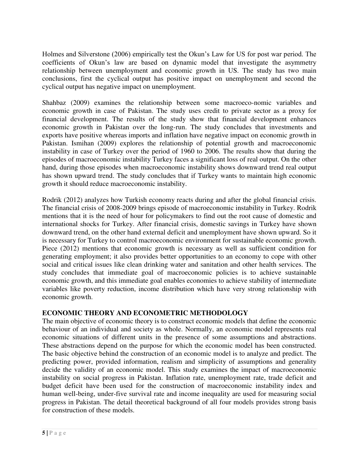Holmes and Silverstone (2006) empirically test the Okun's Law for US for post war period. The coefficients of Okun's law are based on dynamic model that investigate the asymmetry relationship between unemployment and economic growth in US. The study has two main conclusions, first the cyclical output has positive impact on unemployment and second the cyclical output has negative impact on unemployment.

Shahbaz (2009) examines the relationship between some macroeco-nomic variables and economic growth in case of Pakistan. The study uses credit to private sector as a proxy for financial development. The results of the study show that financial development enhances economic growth in Pakistan over the long-run. The study concludes that investments and exports have positive whereas imports and inflation have negative impact on economic growth in Pakistan. Ismihan (2009) explores the relationship of potential growth and macroeconomic instability in case of Turkey over the period of 1960 to 2006. The results show that during the episodes of macroeconomic instability Turkey faces a significant loss of real output. On the other hand, during those episodes when macroeconomic instability shows downward trend real output has shown upward trend. The study concludes that if Turkey wants to maintain high economic growth it should reduce macroeconomic instability.

Rodrik (2012) analyzes how Turkish economy reacts during and after the global financial crisis. The financial crisis of 2008-2009 brings episode of macroeconomic instability in Turkey. Rodrik mentions that it is the need of hour for policymakers to find out the root cause of domestic and international shocks for Turkey. After financial crisis, domestic savings in Turkey have shown downward trend, on the other hand external deficit and unemployment have shown upward. So it is necessary for Turkey to control macroeconomic environment for sustainable economic growth. Piece (2012) mentions that economic growth is necessary as well as sufficient condition for generating employment; it also provides better opportunities to an economy to cope with other social and critical issues like clean drinking water and sanitation and other health services. The study concludes that immediate goal of macroeconomic policies is to achieve sustainable economic growth, and this immediate goal enables economies to achieve stability of intermediate variables like poverty reduction, income distribution which have very strong relationship with economic growth.

# **ECONOMIC THEORY AND ECONOMETRIC METHODOLOGY**

The main objective of economic theory is to construct economic models that define the economic behaviour of an individual and society as whole. Normally, an economic model represents real economic situations of different units in the presence of some assumptions and abstractions. These abstractions depend on the purpose for which the economic model has been constructed. The basic objective behind the construction of an economic model is to analyze and predict. The predicting power, provided information, realism and simplicity of assumptions and generality decide the validity of an economic model. This study examines the impact of macroeconomic instability on social progress in Pakistan. Inflation rate, unemployment rate, trade deficit and budget deficit have been used for the construction of macroeconomic instability index and human well-being, under-five survival rate and income inequality are used for measuring social progress in Pakistan. The detail theoretical background of all four models provides strong basis for construction of these models.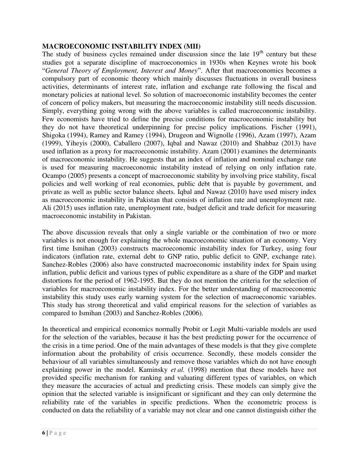#### **MACROECONOMIC INSTABILITY INDEX (MII)**

The study of business cycles remained under discussion since the late  $19<sup>th</sup>$  century but these studies got a separate discipline of macroeconomics in 1930s when Keynes wrote his book "*General Theory of Employment, Interest and Money*". After that macroeconomics becomes a compulsory part of economic theory which mainly discusses fluctuations in overall business activities, determinants of interest rate, inflation and exchange rate following the fiscal and monetary policies at national level. So solution of macroeconomic instability becomes the center of concern of policy makers, but measuring the macroeconomic instability still needs discussion. Simply, everything going wrong with the above variables is called macroeconomic instability. Few economists have tried to define the precise conditions for macroeconomic instability but they do not have theoretical underpinning for precise policy implications. Fischer (1991), Shigoka (1994), Ramey and Ramey (1994), Drugeon and Wignolle (1996), Azam (1997), Azam (1999), Yiheyis (2000), Caballero (2007), Iqbal and Nawaz (2010) and Shahbaz (2013) have used inflation as a proxy for macroeconomic instability. Azam (2001) examines the determinants of macroeconomic instability. He suggests that an index of inflation and nominal exchange rate is used for measuring macroeconomic instability instead of relying on only inflation rate. Ocampo (2005) presents a concept of macroeconomic stability by involving price stability, fiscal policies and well working of real economies, public debt that is payable by government, and private as well as public sector balance sheets. Iqbal and Nawaz (2010) have used misery index as macroeconomic instability in Pakistan that consists of inflation rate and unemployment rate. Ali (2015) uses inflation rate, unemployment rate, budget deficit and trade deficit for measuring macroeconomic instability in Pakistan.

The above discussion reveals that only a single variable or the combination of two or more variables is not enough for explaining the whole macroeconomic situation of an economy. Very first time Ismihan (2003) constructs macroeconomic instability index for Turkey, using four indicators (inflation rate, external debt to GNP ratio, public deficit to GNP, exchange rate). Sanchez-Robles (2006) also have constructed macroeconomic instability index for Spain using inflation, public deficit and various types of public expenditure as a share of the GDP and market distortions for the period of 1962-1995. But they do not mention the criteria for the selection of variables for macroeconomic instability index. For the better understanding of macroeconomic instability this study uses early warning system for the selection of macroeconomic variables. This study has strong theoretical and valid empirical reasons for the selection of variables as compared to Ismihan (2003) and Sanchez-Robles (2006).

In theoretical and empirical economics normally Probit or Logit Multi-variable models are used for the selection of the variables, because it has the best predicting power for the occurrence of the crisis in a time period. One of the main advantages of these models is that they give complete information about the probability of crisis occurrence. Secondly, these models consider the behaviour of all variables simultaneously and remove those variables which do not have enough explaining power in the model. Kaminsky *et al.* (1998) mention that these models have not provided specific mechanism for ranking and valuating different types of variables, on which they measure the accuracies of actual and predicting crisis. These models can simply give the opinion that the selected variable is insignificant or significant and they can only determine the reliability rate of the variables in specific predictions. When the econometric process is conducted on data the reliability of a variable may not clear and one cannot distinguish either the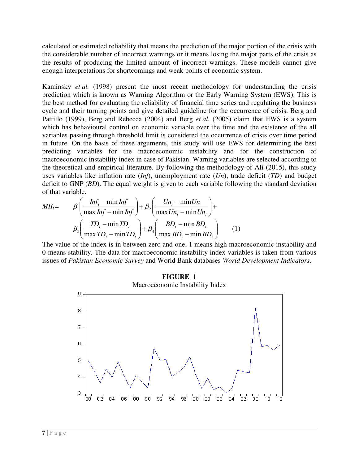calculated or estimated reliability that means the prediction of the major portion of the crisis with the considerable number of incorrect warnings or it means losing the major parts of the crisis as the results of producing the limited amount of incorrect warnings. These models cannot give enough interpretations for shortcomings and weak points of economic system.

Kaminsky *et al.* (1998) present the most recent methodology for understanding the crisis prediction which is known as Warning Algorithm or the Early Warning System (EWS). This is the best method for evaluating the reliability of financial time series and regulating the business cycle and their turning points and give detailed guideline for the occurrence of crisis. Berg and Pattillo (1999), Berg and Rebecca (2004) and Berg *et al.* (2005) claim that EWS is a system which has behavioural control on economic variable over the time and the existence of the all variables passing through threshold limit is considered the occurrence of crisis over time period in future. On the basis of these arguments, this study will use EWS for determining the best predicting variables for the macroeconomic instability and for the construction of macroeconomic instability index in case of Pakistan. Warning variables are selected according to the theoretical and empirical literature. By following the methodology of Ali (2015), this study uses variables like inflation rate (*Inf*), unemployment rate (*Un*), trade deficit (*TD*) and budget deficit to GNP (*BD*). The equal weight is given to each variable following the standard deviation of that variable.

$$
MII_t = \beta_1 \left( \frac{Inf_t - \min Inf}{\max Inf - \min Inf} \right) + \beta_2 \left( \frac{Un_t - \min Un_t}{\max Un_t - \min Un_t} \right) + \beta_3 \left( \frac{TD_t - \min TD_t}{\max TD_t - \min TD_t} \right) + \beta_4 \left( \frac{BD_t - \min BD_t}{\max BD_t - \min BD_t} \right) \tag{1}
$$

The value of the index is in between zero and one, 1 means high macroeconomic instability and 0 means stability. The data for macroeconomic instability index variables is taken from various issues of *Pakistan Economic Survey* and World Bank databases *World Development Indicators*.

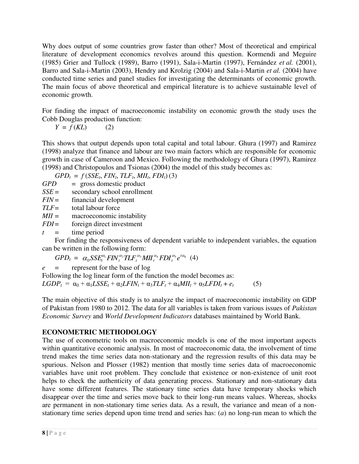Why does output of some countries grow faster than other? Most of theoretical and empirical literature of development economics revolves around this question. Kormendi and Meguire (1985) Grier and Tullock (1989), Barro (1991), Sala-i-Martin (1997), Fernández *et al.* (2001), Barro and Sala-i-Martin (2003), Hendry and Krolzig (2004) and Sala-i-Martin *et al.* (2004) have conducted time series and panel studies for investigating the determinants of economic growth. The main focus of above theoretical and empirical literature is to achieve sustainable level of economic growth.

For finding the impact of macroeconomic instability on economic growth the study uses the Cobb Douglas production function:

$$
Y = f(KL) \tag{2}
$$

This shows that output depends upon total capital and total labour. Ghura (1997) and Ramirez (1998) analyze that finance and labour are two main factors which are responsible for economic growth in case of Cameroon and Mexico. Following the methodology of Ghura (1997), Ramirez (1998) and Christopoulos and Tsionas (2004) the model of this study becomes as:

 $GPD_t = f(SSE_t, FIN_t, TLF_t, MIL_t, FDI_t)$  (3)

*GPD* = gross domestic product

*SSE* = secondary school enrollment

*FIN* = financial development

*TLF* = total labour force

*MII* = macroeconomic instability

*FDI* = foreign direct investment

 $t =$  time period

 For finding the responsiveness of dependent variable to independent variables, the equation can be written in the following form:

 $GPD_t = \alpha_0 SSE_t^{\alpha_1} FIN_t^{\alpha_2}TLF_t^{\alpha_3}MII_t^{\alpha_4}FDI_t^{\alpha_5}e^{t\alpha_6}$  $SSE_{t}^{\alpha_{1}}$  *FIN*  $_{t}^{\alpha_{2}}$  *TLF*  $_{t}^{\alpha_{3}}$  *MII*  $_{t}^{\alpha_{4}}$  *FDI*  $_{t}^{\alpha_{5}}$  *e t*<sup> $\alpha_{6}$ </sup> (4)

*e* = represent for the base of log

Following the log linear form of the function the model becomes as:  $LGDP_t = \alpha_0 + \alpha_1 LSSE_t + \alpha_2 LFIN_t + \alpha_3 TLF_t + \alpha_4 MII_t + \alpha_5 LFDI_t + e_t$ (5)

The main objective of this study is to analyze the impact of macroeconomic instability on GDP of Pakistan from 1980 to 2012. The data for all variables is taken from various issues of *Pakistan Economic Survey* and *World Development Indicators* databases maintained by World Bank.

## **ECONOMETRIC METHODOLOGY**

The use of econometric tools on macroeconomic models is one of the most important aspects within quantitative economic analysis. In most of macroeconomic data, the involvement of time trend makes the time series data non-stationary and the regression results of this data may be spurious. Nelson and Plosser (1982) mention that mostly time series data of macroeconomic variables have unit root problem. They conclude that existence or non-existence of unit root helps to check the authenticity of data generating process. Stationary and non-stationary data have some different features. The stationary time series data have temporary shocks which disappear over the time and series move back to their long-run means values. Whereas, shocks are permanent in non-stationary time series data. As a result, the variance and mean of a nonstationary time series depend upon time trend and series has: (*a*) no long-run mean to which the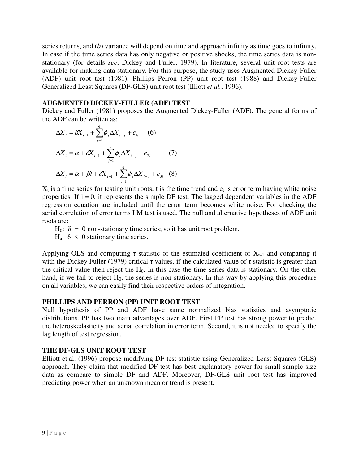series returns, and (*b*) variance will depend on time and approach infinity as time goes to infinity. In case if the time series data has only negative or positive shocks, the time series data is nonstationary (for details *see*, Dickey and Fuller, 1979). In literature, several unit root tests are available for making data stationary. For this purpose, the study uses Augmented Dickey-Fuller (ADF) unit root test (1981), Phillips Perron (PP) unit root test (1988) and Dickey-Fuller Generalized Least Squares (DF-GLS) unit root test (Illiott *et al.*, 1996).

#### **AUGMENTED DICKEY-FULLER (ADF) TEST**

Dickey and Fuller (1981) proposes the Augmented Dickey-Fuller (ADF). The general forms of the ADF can be written as:

$$
\Delta X_{t} = \delta X_{t-1} + \sum_{j=1}^{q} \phi_{j} \Delta X_{t-j} + e_{1t} \quad (6)
$$
  

$$
\Delta X_{t} = \alpha + \delta X_{t-1} + \sum_{j=1}^{q} \phi_{j} \Delta X_{t-j} + e_{2t} \quad (7)
$$
  

$$
\Delta X_{t} = \alpha + \beta t + \delta X_{t-1} + \sum_{j=1}^{q} \phi_{j} \Delta X_{t-j} + e_{3t} \quad (8)
$$

 $X_t$  is a time series for testing unit roots, t is the time trend and  $e_t$  is error term having white noise properties. If  $j = 0$ , it represents the simple DF test. The lagged dependent variables in the ADF regression equation are included until the error term becomes white noise. For checking the serial correlation of error terms LM test is used. The null and alternative hypotheses of ADF unit roots are:

H<sub>0</sub>: δ = 0 non-stationary time series; so it has unit root problem. H<sub>a</sub>:  $\delta$  < 0 stationary time series.

Applying OLS and computing  $\tau$  statistic of the estimated coefficient of  $X_{t-1}$  and comparing it with the Dickey Fuller (1979) critical  $\tau$  values, if the calculated value of  $\tau$  statistic is greater than the critical value then reject the H<sub>0</sub>. In this case the time series data is stationary. On the other hand, if we fail to reject  $H_0$ , the series is non-stationary. In this way by applying this procedure on all variables, we can easily find their respective orders of integration.

## **PHILLIPS AND PERRON (PP) UNIT ROOT TEST**

Null hypothesis of PP and ADF have same normalized bias statistics and asymptotic distributions. PP has two main advantages over ADF. First PP test has strong power to predict the heteroskedasticity and serial correlation in error term. Second, it is not needed to specify the lag length of test regression.

## **THE DF-GLS UNIT ROOT TEST**

Elliott et al. (1996) propose modifying DF test statistic using Generalized Least Squares (GLS) approach. They claim that modified DF test has best explanatory power for small sample size data as compare to simple DF and ADF. Moreover, DF-GLS unit root test has improved predicting power when an unknown mean or trend is present.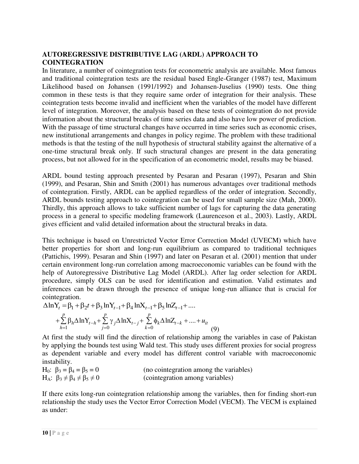# **AUTOREGRESSIVE DISTRIBUTIVE LAG (ARDL) APPROACH TO COINTEGRATION**

In literature, a number of cointegration tests for econometric analysis are available. Most famous and traditional cointegration tests are the residual based Engle-Granger (1987) test, Maximum Likelihood based on Johansen (1991/1992) and Johansen-Juselius (1990) tests. One thing common in these tests is that they require same order of integration for their analysis. These cointegration tests become invalid and inefficient when the variables of the model have different level of integration. Moreover, the analysis based on these tests of cointegration do not provide information about the structural breaks of time series data and also have low power of prediction. With the passage of time structural changes have occurred in time series such as economic crises, new institutional arrangements and changes in policy regime. The problem with these traditional methods is that the testing of the null hypothesis of structural stability against the alternative of a one-time structural break only. If such structural changes are present in the data generating process, but not allowed for in the specification of an econometric model, results may be biased.

ARDL bound testing approach presented by Pesaran and Pesaran (1997), Pesaran and Shin (1999), and Pesaran, Shin and Smith (2001) has numerous advantages over traditional methods of cointegration. Firstly, ARDL can be applied regardless of the order of integration. Secondly, ARDL bounds testing approach to cointegration can be used for small sample size (Mah, 2000). Thirdly, this approach allows to take sufficient number of lags for capturing the data generating process in a general to specific modeling framework (Laurenceson et al., 2003). Lastly, ARDL gives efficient and valid detailed information about the structural breaks in data.

This technique is based on Unrestricted Vector Error Correction Model (UVECM) which have better properties for short and long-run equilibrium as compared to traditional techniques (Pattichis, 1999). Pesaran and Shin (1997) and later on Pesaran et al. (2001) mention that under certain environment long-run correlation among macroeconomic variables can be found with the help of Autoregressive Distributive Lag Model (ARDL). After lag order selection for ARDL procedure, simply OLS can be used for identification and estimation. Valid estimates and inferences can be drawn through the presence of unique long-run alliance that is crucial for cointegration.

$$
\Delta \ln Y_t = \beta_1 + \beta_2 t + \beta_3 \ln Y_{t-1} + \beta_4 \ln X_{t-1} + \beta_5 \ln Z_{t-1} + \dots
$$
  
+ 
$$
\sum_{h=1}^p \beta_h \Delta \ln Y_{t-h} + \sum_{j=0}^p \gamma_j \Delta \ln X_{t-j} + \sum_{k=0}^p \phi_k \Delta \ln Z_{t-k} + \dots + u_{it}
$$
(9)

At first the study will find the direction of relationship among the variables in case of Pakistan by applying the bounds test using Wald test. This study uses different proxies for social progress as dependent variable and every model has different control variable with macroeconomic instability.

| H <sub>0</sub> : $\beta_3 = \beta_4 = \beta_5 = 0$ | (no cointegration among the variables) |
|----------------------------------------------------|----------------------------------------|
| $H_A: \beta_3 \neq \beta_4 \neq \beta_5 \neq 0$    | (cointegration among variables)        |

If there exits long-run cointegration relationship among the variables, then for finding short-run relationship the study uses the Vector Error Correction Model (VECM). The VECM is explained as under: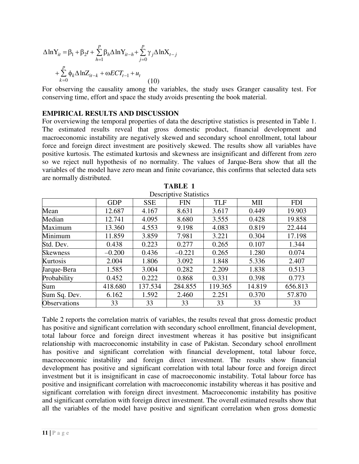$$
\Delta \ln Y_{it} = \beta_1 + \beta_2 t + \sum_{h=1}^{p} \beta_h \Delta \ln Y_{it-h} + \sum_{j=0}^{p} \gamma_j \Delta \ln X_{t-j} + \sum_{k=0}^{p} \phi_k \Delta \ln Z_{it-k} + \omega ECT_{t-1} + u_t
$$
(10)

For observing the causality among the variables, the study uses Granger causality test. For conserving time, effort and space the study avoids presenting the book material.

#### **EMPIRICAL RESULTS AND DISCUSSION**

For overviewing the temporal properties of data the descriptive statistics is presented in Table 1. The estimated results reveal that gross domestic product, financial development and macroeconomic instability are negatively skewed and secondary school enrollment, total labour force and foreign direct investment are positively skewed. The results show all variables have positive kurtosis. The estimated kurtosis and skewness are insignificant and different from zero so we reject null hypothesis of no normality. The values of Jarque-Bera show that all the variables of the model have zero mean and finite covariance, this confirms that selected data sets are normally distributed.

| Descriptive Statistics |            |            |            |            |        |            |
|------------------------|------------|------------|------------|------------|--------|------------|
|                        | <b>GDP</b> | <b>SSE</b> | <b>FIN</b> | <b>TLF</b> | MII    | <b>FDI</b> |
| Mean                   | 12.687     | 4.167      | 8.631      | 3.617      | 0.449  | 19.903     |
| Median                 | 12.741     | 4.095      | 8.680      | 3.555      | 0.428  | 19.858     |
| Maximum                | 13.360     | 4.553      | 9.198      | 4.083      | 0.819  | 22.444     |
| Minimum                | 11.859     | 3.859      | 7.981      | 3.221      | 0.304  | 17.198     |
| Std. Dev.              | 0.438      | 0.223      | 0.277      | 0.265      | 0.107  | 1.344      |
| <b>Skewness</b>        | $-0.200$   | 0.436      | $-0.221$   | 0.265      | 1.280  | 0.074      |
| Kurtosis               | 2.004      | 1.806      | 3.092      | 1.848      | 5.336  | 2.407      |
| Jarque-Bera            | 1.585      | 3.004      | 0.282      | 2.209      | 1.838  | 0.513      |
| Probability            | 0.452      | 0.222      | 0.868      | 0.331      | 0.398  | 0.773      |
| Sum                    | 418.680    | 137.534    | 284.855    | 119.365    | 14.819 | 656.813    |
| Sum Sq. Dev.           | 6.162      | 1.592      | 2.460      | 2.251      | 0.370  | 57.870     |
| <b>Observations</b>    | 33         | 33         | 33         | 33         | 33     | 33         |

| <b>TABLE 1</b>                |
|-------------------------------|
| <b>Descriptive Statistics</b> |

Table 2 reports the correlation matrix of variables, the results reveal that gross domestic product has positive and significant correlation with secondary school enrollment, financial development, total labour force and foreign direct investment whereas it has positive but insignificant relationship with macroeconomic instability in case of Pakistan. Secondary school enrollment has positive and significant correlation with financial development, total labour force, macroeconomic instability and foreign direct investment. The results show financial development has positive and significant correlation with total labour force and foreign direct investment but it is insignificant in case of macroeconomic instability. Total labour force has positive and insignificant correlation with macroeconomic instability whereas it has positive and significant correlation with foreign direct investment. Macroeconomic instability has positive and significant correlation with foreign direct investment. The overall estimated results show that all the variables of the model have positive and significant correlation when gross domestic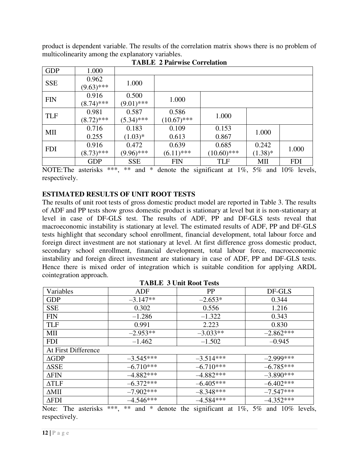product is dependent variable. The results of the correlation matrix shows there is no problem of multicolinearity among the explanatory variables.

| <b>GDP</b> | 1.000                 |                       |                        |                        |                    |            |
|------------|-----------------------|-----------------------|------------------------|------------------------|--------------------|------------|
| <b>SSE</b> | 0.962<br>$(9.63)$ *** | 1.000                 |                        |                        |                    |            |
| <b>FIN</b> | 0.916<br>$(8.74)$ *** | 0.500<br>$(9.01)$ *** | 1.000                  |                        |                    |            |
| <b>TLF</b> | 0.981<br>$(8.72)$ *** | 0.587<br>$(5.34)$ *** | 0.586<br>$(10.67)$ *** | 1.000                  |                    |            |
| MII        | 0.716<br>0.255        | 0.183<br>$(1.03)*$    | 0.109<br>0.613         | 0.153<br>0.867         | 1.000              |            |
| <b>FDI</b> | 0.916<br>$(8.73)$ *** | 0.472<br>$(9.96)$ *** | 0.639<br>$(6.11)$ ***  | 0.685<br>$(10.60)$ *** | 0.242<br>$(1.38)*$ | 1.000      |
|            | <b>GDP</b>            | <b>SSE</b>            | <b>FIN</b>             | <b>TLF</b>             | МII                | <b>FDI</b> |

**TABLE 2 Pairwise Correlation** 

NOTE: The asterisks \*\*\*, \*\* and \* denote the significant at 1%, 5% and 10% levels, respectively.

## **ESTIMATED RESULTS OF UNIT ROOT TESTS**

The results of unit root tests of gross domestic product model are reported in Table 3. The results of ADF and PP tests show gross domestic product is stationary at level but it is non-stationary at level in case of DF-GLS test. The results of ADF, PP and DF-GLS tests reveal that macroeconomic instability is stationary at level. The estimated results of ADF, PP and DF-GLS tests highlight that secondary school enrollment, financial development, total labour force and foreign direct investment are not stationary at level. At first difference gross domestic product, secondary school enrollment, financial development, total labour force, macroeconomic instability and foreign direct investment are stationary in case of ADF, PP and DF-GLS tests. Hence there is mixed order of integration which is suitable condition for applying ARDL cointegration approach. **TABLE 3 Unit Root Tests** 

| <b>TABLE 3 UNIT ROOT TESTS</b> |             |             |             |  |  |
|--------------------------------|-------------|-------------|-------------|--|--|
| Variables                      | <b>ADF</b>  | <b>PP</b>   | DF-GLS      |  |  |
| <b>GDP</b>                     | $-3.147**$  | $-2.653*$   | 0.344       |  |  |
| <b>SSE</b>                     | 0.302       | 0.556       | 1.216       |  |  |
| <b>FIN</b>                     | $-1.286$    | $-1.322$    | 0.343       |  |  |
| <b>TLF</b>                     | 0.991       | 2.223       | 0.830       |  |  |
| MII                            | $-2.953**$  | $-3.033**$  | $-2.862***$ |  |  |
| <b>FDI</b>                     | $-1.462$    | $-1.502$    | $-0.945$    |  |  |
| At First Difference            |             |             |             |  |  |
| $\triangle$ GDP                | $-3.545***$ | $-3.514***$ | $-2.999***$ |  |  |
| $\triangle$ SSE                | $-6.710***$ | $-6.710***$ | $-6.785***$ |  |  |
| $\Delta$ FIN                   | $-4.882***$ | $-4.882***$ | $-3.890***$ |  |  |
| $\Delta TLF$                   | $-6.372***$ | $-6.405***$ | $-6.402***$ |  |  |
| $\Delta$ MII                   | $-7.902***$ | $-8.348***$ | $-7.547***$ |  |  |
| $\Delta$ FDI                   | $-4.546***$ | $-4.584***$ | $-4.352***$ |  |  |

Note: The asterisks \*\*\*, \*\* and \* denote the significant at 1%, 5% and 10% levels, respectively.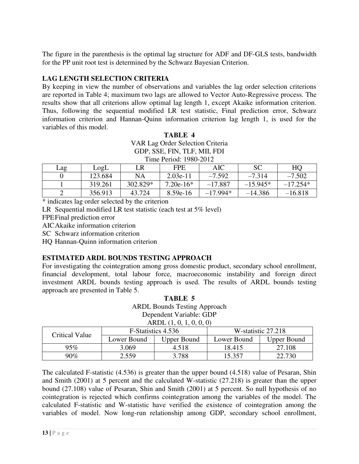The figure in the parenthesis is the optimal lag structure for ADF and DF-GLS tests, bandwidth for the PP unit root test is determined by the Schwarz Bayesian Criterion.

# **LAG LENGTH SELECTION CRITERIA**

By keeping in view the number of observations and variables the lag order selection criterions are reported in Table 4; maximum two lags are allowed to Vector Auto-Regressive process. The results show that all criterions allow optimal lag length 1, except Akaike information criterion. Thus, following the sequential modified LR test statistic, Final prediction error, Schwarz information criterion and Hannan-Quinn information criterion lag length 1, is used for the variables of this model.

| <b>TABLE 4</b>                   |  |  |  |  |
|----------------------------------|--|--|--|--|
| VAR Lag Order Selection Criteria |  |  |  |  |
| GDP, SSE, FIN, TLF, MII, FDI     |  |  |  |  |
| Time Period: 1980-2012           |  |  |  |  |

| Lag | LogL    | LR       | <b>FPE</b>  | AIC        | <b>SC</b>  | HO         |
|-----|---------|----------|-------------|------------|------------|------------|
|     | 123.684 | NA       | $2.03e-11$  | $-7.592$   | $-7.314$   | $-7.502$   |
|     | 319.261 | 302.829* | $7.20e-16*$ | $-17.887$  | $-15.945*$ | $-17.254*$ |
|     | 356.913 | 43.724   | $8.59e-16$  | $-17.994*$ | $-14.386$  | $-16.818$  |

\* indicates lag order selected by the criterion

LR Sequential modified LR test statistic (each test at 5% level)

FPE Final prediction error

AIC Akaike information criterion

SC Schwarz information criterion

HQ Hannan-Quinn information criterion

## **ESTIMATED ARDL BOUNDS TESTING APPROACH**

For investigating the cointegration among gross domestic product, secondary school enrollment, financial development, total labour force, macroeconomic instability and foreign direct investment ARDL bounds testing approach is used. The results of ARDL bounds testing approach are presented in Table 5.  $TAP$ 

| TABLE 5                             |  |  |  |  |
|-------------------------------------|--|--|--|--|
| <b>ARDL Bounds Testing Approach</b> |  |  |  |  |
| Dependent Variable: GDP             |  |  |  |  |
|                                     |  |  |  |  |

| $\Lambda \text{NUL}$ (1, 0, 1, 0, 0, 0) |                    |                    |                    |                    |  |
|-----------------------------------------|--------------------|--------------------|--------------------|--------------------|--|
| Critical Value                          | F-Statistics 4.536 |                    | W-statistic 27.218 |                    |  |
|                                         | Lower Bound        | <b>Upper Bound</b> | Lower Bound        | <b>Upper Bound</b> |  |
| 95%                                     | 3.069              | 4.518              | 18.415             | 27.108             |  |
| 90%                                     | 2.559              | 3.788              | 15.357             | 22.730             |  |

The calculated F-statistic (4.536) is greater than the upper bound (4.518) value of Pesaran, Shin and Smith (2001) at 5 percent and the calculated W-statistic (27.218) is greater than the upper bound (27.108) value of Pesaran, Shin and Smith (2001) at 5 percent. So null hypothesis of no cointegration is rejected which confirms cointegration among the variables of the model. The calculated F-statistic and W-statistic have verified the existence of cointegration among the variables of model. Now long-run relationship among GDP, secondary school enrollment,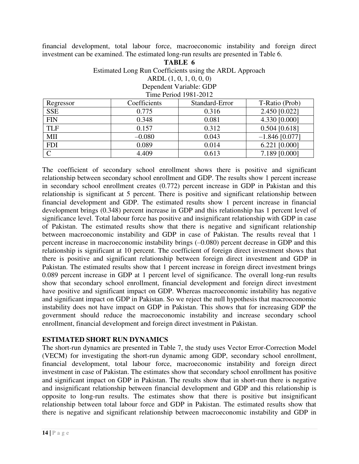financial development, total labour force, macroeconomic instability and foreign direct investment can be examined. The estimated long-run results are presented in Table 6.

> **TABLE 6**  Estimated Long Run Coefficients using the ARDL Approach ARDL (1, 0, 1, 0, 0, 0) Dependent Variable: GDP Time Period 1981-2012

| Regressor  | Coefficients | Standard-Error | T-Ratio (Prob)   |
|------------|--------------|----------------|------------------|
| <b>SSE</b> | 0.775        | 0.316          | 2.450 [0.022]    |
| <b>FIN</b> | 0.348        | 0.081          | 4.330 [0.000]    |
| <b>TLF</b> | 0.157        | 0.312          | $0.504$ [0.618]  |
| MII        | $-0.080$     | 0.043          | $-1.846$ [0.077] |
| <b>FDI</b> | 0.089        | 0.014          | $6.221$ [0.000]  |
| $\Gamma$   | 4.409        | 0.613          | 7.189 [0.000]    |

The coefficient of secondary school enrollment shows there is positive and significant relationship between secondary school enrollment and GDP. The results show 1 percent increase in secondary school enrollment creates (0.772) percent increase in GDP in Pakistan and this relationship is significant at 5 percent. There is positive and significant relationship between financial development and GDP. The estimated results show 1 percent increase in financial development brings (0.348) percent increase in GDP and this relationship has 1 percent level of significance level. Total labour force has positive and insignificant relationship with GDP in case of Pakistan. The estimated results show that there is negative and significant relationship between macroeconomic instability and GDP in case of Pakistan. The results reveal that 1 percent increase in macroeconomic instability brings (–0.080) percent decrease in GDP and this relationship is significant at 10 percent. The coefficient of foreign direct investment shows that there is positive and significant relationship between foreign direct investment and GDP in Pakistan. The estimated results show that 1 percent increase in foreign direct investment brings 0.089 percent increase in GDP at 1 percent level of significance. The overall long-run results show that secondary school enrollment, financial development and foreign direct investment have positive and significant impact on GDP. Whereas macroeconomic instability has negative and significant impact on GDP in Pakistan. So we reject the null hypothesis that macroeconomic instability does not have impact on GDP in Pakistan. This shows that for increasing GDP the government should reduce the macroeconomic instability and increase secondary school enrollment, financial development and foreign direct investment in Pakistan.

## **ESTIMATED SHORT RUN DYNAMICS**

The short-run dynamics are presented in Table 7, the study uses Vector Error-Correction Model (VECM) for investigating the short-run dynamic among GDP, secondary school enrollment, financial development, total labour force, macroeconomic instability and foreign direct investment in case of Pakistan. The estimates show that secondary school enrollment has positive and significant impact on GDP in Pakistan. The results show that in short-run there is negative and insignificant relationship between financial development and GDP and this relationship is opposite to long-run results. The estimates show that there is positive but insignificant relationship between total labour force and GDP in Pakistan. The estimated results show that there is negative and significant relationship between macroeconomic instability and GDP in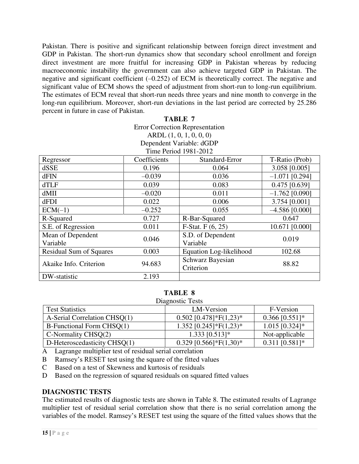Pakistan. There is positive and significant relationship between foreign direct investment and GDP in Pakistan. The short-run dynamics show that secondary school enrollment and foreign direct investment are more fruitful for increasing GDP in Pakistan whereas by reducing macroeconomic instability the government can also achieve targeted GDP in Pakistan. The negative and significant coefficient (–0.252) of ECM is theoretically correct. The negative and significant value of ECM shows the speed of adjustment from short-run to long-run equilibrium. The estimates of ECM reveal that short-run needs three years and nine month to converge in the long-run equilibrium. Moreover, short-run deviations in the last period are corrected by 25.286 percent in future in case of Pakistan.

#### **TABLE 7**

Error Correction Representation ARDL (1, 0, 1, 0, 0, 0)

Dependent Variable: dGDP  $T<sub>ima</sub>$  Deriod 1081-2012

| THE LEHOT 1901- $2012$         |              |                         |                  |  |  |  |
|--------------------------------|--------------|-------------------------|------------------|--|--|--|
| Regressor                      | Coefficients | Standard-Error          | T-Ratio (Prob)   |  |  |  |
| dSSE                           | 0.196        | 0.064                   | 3.058 [0.005]    |  |  |  |
| dFIN                           | $-0.039$     | 0.036                   | $-1.071$ [0.294] |  |  |  |
| dTLF                           | 0.039        | 0.083                   | $0.475$ [0.639]  |  |  |  |
| dMII                           | $-0.020$     | 0.011                   | $-1.762$ [0.090] |  |  |  |
| dFDI                           | 0.022        | 0.006                   | 3.754 [0.001]    |  |  |  |
| $ECM(-1)$                      | $-0.252$     | 0.055                   | $-4.586$ [0.000] |  |  |  |
| R-Squared                      | 0.727        | R-Bar-Squared           | 0.647            |  |  |  |
| S.E. of Regression             | 0.011        | F-Stat. $F(6, 25)$      | 10.671 [0.000]   |  |  |  |
| Mean of Dependent              | 0.046        | S.D. of Dependent       | 0.019            |  |  |  |
| Variable                       |              | Variable                |                  |  |  |  |
| <b>Residual Sum of Squares</b> | 0.003        | Equation Log-likelihood | 102.68           |  |  |  |
| Akaike Info. Criterion         | 94.683       | Schwarz Bayesian        | 88.82            |  |  |  |
|                                |              | Criterion               |                  |  |  |  |
| DW-statistic                   | 2.193        |                         |                  |  |  |  |

#### **TABLE 8**

Diagnostic Tests

| <b>Test Statistics</b>       | LM-Version               | F-Version        |
|------------------------------|--------------------------|------------------|
| A-Serial Correlation CHSQ(1) | $0.502$ [0.478]*F(1,23)* | $0.366$ [0.551]* |
| B-Functional Form CHSQ(1)    | $1.352$ [0.245]*F(1,23)* | $1.015$ [0.324]* |
| $C\text{-}Normally CHSQ(2)$  | $1.333$ [0.513]*         | Not-applicable   |
| D-Heteroscedasticity CHSQ(1) | $0.329$ [0.566]*F(1,30)* | $0.311$ [0.581]* |

A Lagrange multiplier test of residual serial correlation

B Ramsey's RESET test using the square of the fitted values

C Based on a test of Skewness and kurtosis of residuals

D Based on the regression of squared residuals on squared fitted values

#### **DIAGNOSTIC TESTS**

The estimated results of diagnostic tests are shown in Table 8. The estimated results of Lagrange multiplier test of residual serial correlation show that there is no serial correlation among the variables of the model. Ramsey's RESET test using the square of the fitted values shows that the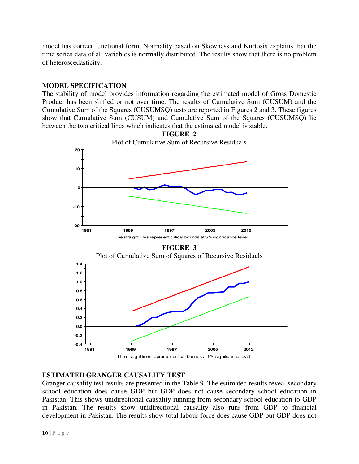model has correct functional form. Normality based on Skewness and Kurtosis explains that the time series data of all variables is normally distributed. The results show that there is no problem of heteroscedasticity.

# **MODEL SPECIFICATION**

The stability of model provides information regarding the estimated model of Gross Domestic Product has been shifted or not over time. The results of Cumulative Sum (CUSUM) and the Cumulative Sum of the Squares (CUSUMSQ) tests are reported in Figures 2 and 3. These figures show that Cumulative Sum (CUSUM) and Cumulative Sum of the Squares (CUSUMSQ) lie between the two critical lines which indicates that the estimated model is stable.



# **ESTIMATED GRANGER CAUSALITY TEST**

Granger causality test results are presented in the Table 9. The estimated results reveal secondary school education does cause GDP but GDP does not cause secondary school education in Pakistan. This shows unidirectional causality running from secondary school education to GDP in Pakistan. The results show unidirectional causality also runs from GDP to financial development in Pakistan. The results show total labour force does cause GDP but GDP does not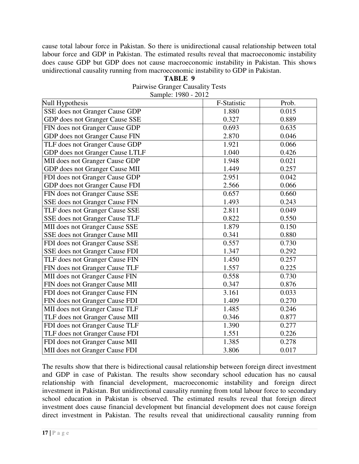cause total labour force in Pakistan. So there is unidirectional causal relationship between total labour force and GDP in Pakistan. The estimated results reveal that macroeconomic instability does cause GDP but GDP does not cause macroeconomic instability in Pakistan. This shows unidirectional causality running from macroeconomic instability to GDP in Pakistan.

| <b>TABLE</b> |  |
|--------------|--|
|--------------|--|

Pairwise Granger Causality Tests Sample: 1980 - 2012

| Null Hypothesis                 | F-Statistic | Prob. |
|---------------------------------|-------------|-------|
| SSE does not Granger Cause GDP  | 1.880       | 0.015 |
| GDP does not Granger Cause SSE  | 0.327       | 0.889 |
| FIN does not Granger Cause GDP  | 0.693       | 0.635 |
| GDP does not Granger Cause FIN  | 2.870       | 0.046 |
| TLF does not Granger Cause GDP  | 1.921       | 0.066 |
| GDP does not Granger Cause LTLF | 1.040       | 0.426 |
| MII does not Granger Cause GDP  | 1.948       | 0.021 |
| GDP does not Granger Cause MII  | 1.449       | 0.257 |
| FDI does not Granger Cause GDP  | 2.951       | 0.042 |
| GDP does not Granger Cause FDI  | 2.566       | 0.066 |
| FIN does not Granger Cause SSE  | 0.657       | 0.660 |
| SSE does not Granger Cause FIN  | 1.493       | 0.243 |
| TLF does not Granger Cause SSE  | 2.811       | 0.049 |
| SSE does not Granger Cause TLF  | 0.822       | 0.550 |
| MII does not Granger Cause SSE  | 1.879       | 0.150 |
| SSE does not Granger Cause MII  | 0.341       | 0.880 |
| FDI does not Granger Cause SSE  | 0.557       | 0.730 |
| SSE does not Granger Cause FDI  | 1.347       | 0.292 |
| TLF does not Granger Cause FIN  | 1.450       | 0.257 |
| FIN does not Granger Cause TLF  | 1.557       | 0.225 |
| MII does not Granger Cause FIN  | 0.558       | 0.730 |
| FIN does not Granger Cause MII  | 0.347       | 0.876 |
| FDI does not Granger Cause FIN  | 3.161       | 0.033 |
| FIN does not Granger Cause FDI  | 1.409       | 0.270 |
| MII does not Granger Cause TLF  | 1.485       | 0.246 |
| TLF does not Granger Cause MII  | 0.346       | 0.877 |
| FDI does not Granger Cause TLF  | 1.390       | 0.277 |
| TLF does not Granger Cause FDI  | 1.551       | 0.226 |
| FDI does not Granger Cause MII  | 1.385       | 0.278 |
| MII does not Granger Cause FDI  | 3.806       | 0.017 |

The results show that there is bidirectional causal relationship between foreign direct investment and GDP in case of Pakistan. The results show secondary school education has no causal relationship with financial development, macroeconomic instability and foreign direct investment in Pakistan. But unidirectional causality running from total labour force to secondary school education in Pakistan is observed. The estimated results reveal that foreign direct investment does cause financial development but financial development does not cause foreign direct investment in Pakistan. The results reveal that unidirectional causality running from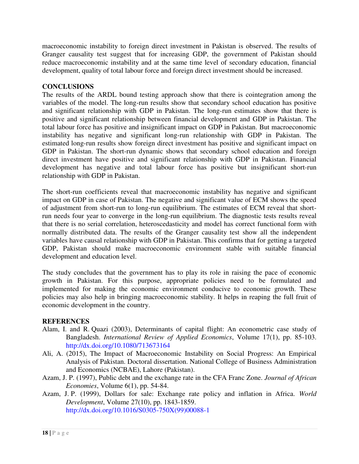macroeconomic instability to foreign direct investment in Pakistan is observed. The results of Granger causality test suggest that for increasing GDP, the government of Pakistan should reduce macroeconomic instability and at the same time level of secondary education, financial development, quality of total labour force and foreign direct investment should be increased.

#### **CONCLUSIONS**

The results of the ARDL bound testing approach show that there is cointegration among the variables of the model. The long-run results show that secondary school education has positive and significant relationship with GDP in Pakistan. The long-run estimates show that there is positive and significant relationship between financial development and GDP in Pakistan. The total labour force has positive and insignificant impact on GDP in Pakistan. But macroeconomic instability has negative and significant long-run relationship with GDP in Pakistan. The estimated long-run results show foreign direct investment has positive and significant impact on GDP in Pakistan. The short-run dynamic shows that secondary school education and foreign direct investment have positive and significant relationship with GDP in Pakistan. Financial development has negative and total labour force has positive but insignificant short-run relationship with GDP in Pakistan.

The short-run coefficients reveal that macroeconomic instability has negative and significant impact on GDP in case of Pakistan. The negative and significant value of ECM shows the speed of adjustment from short-run to long-run equilibrium. The estimates of ECM reveal that shortrun needs four year to converge in the long-run equilibrium. The diagnostic tests results reveal that there is no serial correlation, heteroscedasticity and model has correct functional form with normally distributed data. The results of the Granger causality test show all the independent variables have causal relationship with GDP in Pakistan. This confirms that for getting a targeted GDP, Pakistan should make macroeconomic environment stable with suitable financial development and education level.

The study concludes that the government has to play its role in raising the pace of economic growth in Pakistan. For this purpose, appropriate policies need to be formulated and implemented for making the economic environment conducive to economic growth. These policies may also help in bringing macroeconomic stability. It helps in reaping the full fruit of economic development in the country.

#### **REFERENCES**

- Alam, I. and R. Quazi (2003), Determinants of capital flight: An econometric case study of Bangladesh. *International Review of Applied Economics*, Volume 17(1), pp. 85-103. <http://dx.doi.org/10.1080/713673164>
- Ali, A. (2015), The Impact of Macroeconomic Instability on Social Progress: An Empirical Analysis of Pakistan. Doctoral dissertation. National College of Business Administration and Economics (NCBAE), Lahore (Pakistan).
- Azam, J. P. (1997), Public debt and the exchange rate in the CFA Franc Zone. *Journal of African Economies*, Volume 6(1), pp. 54-84.
- Azam, J. P. (1999), Dollars for sale: Exchange rate policy and inflation in Africa. *World Development*, Volume 27(10), pp. 1843-1859. [http://dx.doi.org/10.1016/S0305-750X\(99\)00088-1](http://dx.doi.org/10.1016/S0305-750X(99)00088-1)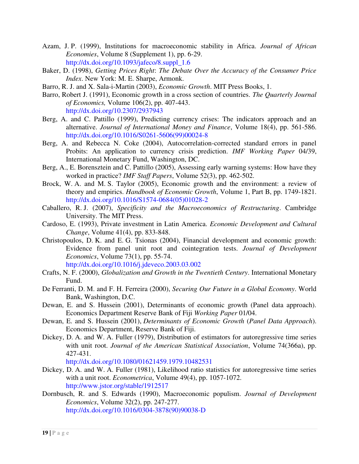- Azam, J. P. (1999), Institutions for macroeconomic stability in Africa. *Journal of African Economies*, Volume 8 (Supplement 1), pp. 6-29. [http://dx.doi.org/10.1093/jafeco/8.suppl\\_1.6](http://dx.doi.org/10.1093/jafeco/8.suppl_1.6)
- Baker, D. (1998), *Getting Prices Right*: *The Debate Over the Accuracy of the Consumer Price Index*. New York: M. E. Sharpe, Armonk.
- Barro, R. J. and X. Sala-i-Martin (2003), *Economic Growth*. MIT Press Books, 1.
- Barro, Robert J. (1991), Economic growth in a cross section of countries. *The Quarterly Journal of Economics,* Volume 106(2), pp. 407-443. <http://dx.doi.org/10.2307/2937943>
- Berg, A. and C. Pattillo (1999), Predicting currency crises: The indicators approach and an alternative. *Journal of International Money and Finance*, Volume 18(4), pp. 561-586. [http://dx.doi.org/10.1016/S0261-5606\(99\)00024-8](http://dx.doi.org/10.1016/S0261-5606(99)00024-8)
- Berg, A. and Rebecca N. Coke (2004), Autocorrelation-corrected standard errors in panel Probits: An application to currency crisis prediction. *IMF Working Paper* 04/39, International Monetary Fund, Washington, DC.
- Berg, A., E. Borensztein and C. Pattillo (2005), Assessing early warning systems: How have they worked in practice? *IMF Staff Papers*, Volume 52(3), pp. 462-502.
- Brock, W. A. and M. S. Taylor (2005), Economic growth and the environment: a review of theory and empirics. *Handbook of Economic Growth*, Volume 1, Part B, pp. 1749-1821. [http://dx.doi.org/10.1016/S1574-0684\(05\)01028-2](http://dx.doi.org/10.1016/S1574-0684(05)01028-2)
- Caballero, R. J. (2007), *Specificity and the Macroeconomics of Restructuring*. Cambridge University. The MIT Press.
- Cardoso, E. (1993), Private investment in Latin America. *Economic Development and Cultural Change*, Volume 41(4), pp. 833-848.
- Christopoulos, D. K. and E. G. Tsionas (2004), Financial development and economic growth: Evidence from panel unit root and cointegration tests. *Journal of Development Economics*, Volume 73(1), pp. 55-74. <http://dx.doi.org/10.1016/j.jdeveco.2003.03.002>
- Crafts, N. F. (2000), *Globalization and Growth in the Twentieth Century*. International Monetary Fund.
- De Ferranti, D. M. and F. H. Ferreira (2000), *Securing Our Future in a Global Economy*. World Bank, Washington, D.C.
- Dewan, E. and S. Hussein (2001), Determinants of economic growth (Panel data approach). Economics Department Reserve Bank of Fiji *Working Paper* 01/04.
- Dewan, E. and S. Hussein (2001), *Determinants of Economic Growth* (*Panel Data Approach*). Economics Department, Reserve Bank of Fiji.
- Dickey, D. A. and W. A. Fuller (1979), Distribution of estimators for autoregressive time series with unit root. *Journal of the American Statistical Association*, Volume 74(366a), pp. 427-431.

<http://dx.doi.org/10.1080/01621459.1979.10482531>

- Dickey, D. A. and W. A. Fuller (1981), Likelihood ratio statistics for autoregressive time series with a unit root. *Econometrica*, Volume 49(4), pp. 1057-1072. <http://www.jstor.org/stable/1912517>
- Dornbusch, R. and S. Edwards (1990), Macroeconomic populism. *Journal of Development Economics*, Volume 32(2), pp. 247-277. [http://dx.doi.org/10.1016/0304-3878\(90\)90038-D](http://dx.doi.org/10.1016/0304-3878(90)90038-D)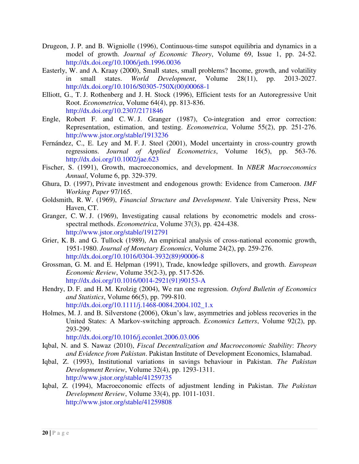- Drugeon, J. P. and B. Wigniolle (1996), Continuous-time sunspot equilibria and dynamics in a model of growth. *Journal of Economic Theory*, Volume 69, Issue 1, pp. 24-52. <http://dx.doi.org/10.1006/jeth.1996.0036>
- Easterly, W. and A. Kraay (2000), Small states, small problems? Income, growth, and volatility in small states. *World Development*, Volume 28(11), pp. 2013-2027. [http://dx.doi.org/10.1016/S0305-750X\(00\)00068-1](http://dx.doi.org/10.1016/S0305-750X(00)00068-1)
- Elliott, G., T. J. Rothenberg and J. H. Stock (1996), Efficient tests for an Autoregressive Unit Root. *Econometrica*, Volume 64(4), pp. 813-836. <http://dx.doi.org/10.2307/2171846>
- Engle, Robert F. and C. W. J. Granger (1987), Co-integration and error correction: Representation, estimation, and testing. *Econometrica*, Volume 55(2), pp. 251-276. <http://www.jstor.org/stable/1913236>
- Fernández, C., E. Ley and M. F. J. Steel (2001), Model uncertainty in cross-country growth regressions. *Journal of Applied Econometrics*, Volume 16(5), pp. 563-76. <http://dx.doi.org/10.1002/jae.623>
- Fischer, S. (1991), Growth, macroeconomics, and development. In *NBER Macroeconomics Annual*, Volume 6, pp. 329-379.
- Ghura, D. (1997), Private investment and endogenous growth: Evidence from Cameroon. *IMF Working Paper* 97/165.
- Goldsmith, R. W. (1969), *Financial Structure and Development*. Yale University Press, New Haven, CT.
- Granger, C. W. J. (1969), Investigating causal relations by econometric models and crossspectral methods. *Econometrica*, Volume 37(3), pp. 424-438. <http://www.jstor.org/stable/1912791>
- Grier, K. B. and G. Tullock (1989), An empirical analysis of cross-national economic growth, 1951-1980. *Journal of Monetary Economics*, Volume 24(2), pp. 259-276. [http://dx.doi.org/10.1016/0304-3932\(89\)90006-8](http://dx.doi.org/10.1016/0304-3932(89)90006-8)
- Grossman, G. M. and E. Helpman (1991), Trade, knowledge spillovers, and growth. *European Economic Review*, Volume 35(2-3), pp. 517-526. [http://dx.doi.org/10.1016/0014-2921\(91\)90153-A](http://dx.doi.org/10.1016/0014-2921(91)90153-A)
- Hendry, D. F. and H. M. Krolzig (2004), We ran one regression. *Oxford Bulletin of Economics and Statistics*, Volume 66(5), pp. 799-810. [http://dx.doi.org/10.1111/j.1468-0084.2004.102\\_1.x](http://dx.doi.org/10.1111/j.1468-0084.2004.102_1.x)
- Holmes, M. J. and B. Silverstone (2006), Okun's law, asymmetries and jobless recoveries in the United States: A Markov-switching approach. *Economics Letters*, Volume 92(2), pp. 293-299.

<http://dx.doi.org/10.1016/j.econlet.2006.03.006>

- Iqbal, N. and S. Nawaz (2010), *Fiscal Decentralization and Macroeconomic Stability*: *Theory and Evidence from Pakistan*. Pakistan Institute of Development Economics, Islamabad.
- Iqbal, Z. (1993), Institutional variations in savings behaviour in Pakistan. *The Pakistan Development Review*, Volume 32(4), pp. 1293-1311. <http://www.jstor.org/stable/41259735>
- Iqbal, Z. (1994), Macroeconomic effects of adjustment lending in Pakistan. *The Pakistan Development Review*, Volume 33(4), pp. 1011-1031. <http://www.jstor.org/stable/41259808>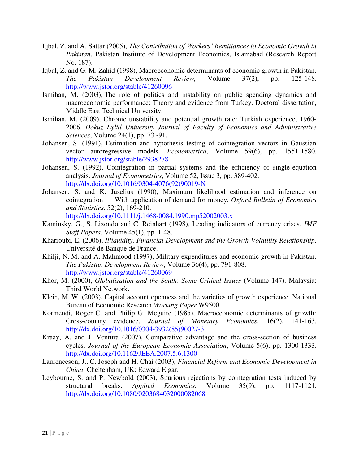- Iqbal, Z. and A. Sattar (2005), *The Contribution of Workers' Remittances to Economic Growth in Pakistan*. Pakistan Institute of Development Economics, Islamabad (Research Report No. 187).
- Iqbal, Z. and G. M. Zahid (1998), Macroeconomic determinants of economic growth in Pakistan. *The Pakistan Development Review*, Volume 37(2), pp. 125-148. <http://www.jstor.org/stable/41260096>
- Ismihan, M. (2003), The role of politics and instability on public spending dynamics and macroeconomic performance: Theory and evidence from Turkey. Doctoral dissertation, Middle East Technical University.
- Ismihan, M. (2009), Chronic unstability and potential growth rate: Turkish experience, 1960- 2006. *Dokuz Eylül University Journal of Faculty of Economics and Administrative Sciences*, Volume 24(1), pp. 73 -91.
- Johansen, S. (1991), Estimation and hypothesis testing of cointegration vectors in Gaussian vector autoregressive models. *Econometrica*, Volume 59(6), pp. 1551-1580. <http://www.jstor.org/stable/2938278>
- Johansen, S. (1992), Cointegration in partial systems and the efficiency of single-equation analysis. *Journal of Econometrics*, Volume 52, Issue 3, pp. 389-402. [http://dx.doi.org/10.1016/0304-4076\(92\)90019-N](http://dx.doi.org/10.1016/0304-4076(92)90019-N)
- Johansen, S. and K. Juselius (1990), Maximum likelihood estimation and inference on cointegration — With application of demand for money. *Oxford Bulletin of Economics and Statistics*, 52(2), 169-210.

<http://dx.doi.org/10.1111/j.1468-0084.1990.mp52002003.x>

- Kaminsky, G., S. Lizondo and C. Reinhart (1998), Leading indicators of currency crises. *IMF Staff Papers*, Volume 45(1), pp. 1-48.
- Kharroubi, E. (2006), *Illiquidity, Financial Development and the Growth-Volatility Relationship*. Université de Banque de France.
- Khilji, N. M. and A. Mahmood (1997), Military expenditures and economic growth in Pakistan. *The Pakistan Development Review*, Volume 36(4), pp. 791-808. <http://www.jstor.org/stable/41260069>
- Khor, M. (2000), *Globalization and the South*: *Some Critical Issues* (Volume 147). Malaysia: Third World Network.
- Klein, M. W. (2003), Capital account openness and the varieties of growth experience. National Bureau of Economic Research *Working Paper* W9500.
- Kormendi, Roger C. and Philip G. Meguire (1985), Macroeconomic determinants of growth: Cross-country evidence. *Journal of Monetary Economics*, 16(2), 141-163. [http://dx.doi.org/10.1016/0304-3932\(85\)90027-3](http://dx.doi.org/10.1016/0304-3932(85)90027-3)
- Kraay, A. and J. Ventura (2007), Comparative advantage and the cross-section of business cycles. *Journal of the European Economic Association*, Volume 5(6), pp. 1300-1333. <http://dx.doi.org/10.1162/JEEA.2007.5.6.1300>
- Laurenceson, J., C. Joseph and H. Chai (2003), *Financial Reform and Economic Development in China*. Cheltenham, UK: Edward Elgar.
- Leybourne, S. and P. Newbold (2003), Spurious rejections by cointegration tests induced by structural breaks. *Applied Economics*, Volume 35(9), pp. 1117-1121. <http://dx.doi.org/10.1080/0203684032000082068>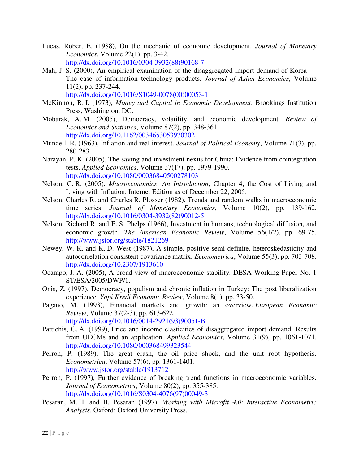- Lucas, Robert E. (1988), On the mechanic of economic development. *Journal of Monetary Economics*, Volume 22(1), pp. 3-42. [http://dx.doi.org/10.1016/0304-3932\(88\)90168-7](http://dx.doi.org/10.1016/0304-3932(88)90168-7)
- Mah, J. S. (2000), An empirical examination of the disaggregated import demand of Korea The case of information technology products. *Journal of Asian Economics*, Volume 11(2), pp. 237-244.

[http://dx.doi.org/10.1016/S1049-0078\(00\)00053-1](http://dx.doi.org/10.1016/S1049-0078(00)00053-1)

- McKinnon, R. I. (1973), *Money and Capital in Economic Development*. Brookings Institution Press, Washington, DC.
- Mobarak, A. M. (2005), Democracy, volatility, and economic development. *Review of Economics and Statistics*, Volume 87(2), pp. 348-361. <http://dx.doi.org/10.1162/0034653053970302>
- Mundell, R. (1963), Inflation and real interest. *Journal of Political Economy*, Volume 71(3), pp. 280-283.
- Narayan, P. K. (2005), The saving and investment nexus for China: Evidence from cointegration tests. *Applied Economics*, Volume 37(17), pp. 1979-1990. <http://dx.doi.org/10.1080/00036840500278103>
- Nelson, C. R. (2005), *Macroeconomics*: *An Introduction*, Chapter 4, the Cost of Living and Living with Inflation. Internet Edition as of December 22, 2005.
- Nelson, Charles R. and Charles R. Plosser (1982), Trends and random walks in macroeconomic time series. *Journal of Monetary Economics*, Volume 10(2), pp. 139-162. [http://dx.doi.org/10.1016/0304-3932\(82\)90012-5](http://dx.doi.org/10.1016/0304-3932(82)90012-5)
- Nelson, [Richard R. and E](http://www.jstor.org/search/BasicResults?Search=Search&Query=aa:%22Richard%20R.%20Nelson%22&hp=25&si=1&wc=on). S. Phelps (1966), Investment in humans, technological diffusion, and economic growth. *The American Economic Review*, Volume 56(1/2), pp. 69-75. <http://www.jstor.org/stable/1821269>
- Newey, W. K. and K. D. West (1987), A simple, positive semi-definite, heteroskedasticity and autocorrelation consistent covariance matrix. *Econometrica*, Volume 55(3), pp. 703-708. <http://dx.doi.org/10.2307/1913610>
- Ocampo, J. A. (2005), A broad view of macroeconomic stability. DESA Working Paper No. 1 ST/ESA/2005/DWP/1.
- Onis, Z. (1997), Democracy, populism and chronic inflation in Turkey: The post liberalization experience. *Yapi Kredi Economic Review*, Volume 8(1), pp. 33-50.
- Pagano, M. (1993), Financial markets and growth: an overview. *European Economic Review*, Volume 37(2-3), pp. 613-622. [http://dx.doi.org/10.1016/0014-2921\(93\)90051-B](http://dx.doi.org/10.1016/0014-2921(93)90051-B)
- Pattichis, C. A. (1999), Price and income elasticities of disaggregated import demand: Results from UECMs and an application. *Applied Economics*, Volume 31(9), pp. 1061-1071. <http://dx.doi.org/10.1080/000368499323544>
- Perron, P. (1989), The great crash, the oil price shock, and the unit root hypothesis. *Econometrica*, Volume 57(6), pp. 1361-1401. <http://www.jstor.org/stable/1913712>
- Perron, P. (1997), Further evidence of breaking trend functions in macroeconomic variables. *Journal of Econometrics*, Volume 80(2), pp. 355-385. [http://dx.doi.org/10.1016/S0304-4076\(97\)00049-3](http://dx.doi.org/10.1016/S0304-4076(97)00049-3)
- Pesaran, M. H. and B. Pesaran (1997), *Working with Microfit 4.0*: *Interactive Econometric Analysis*. Oxford: Oxford University Press.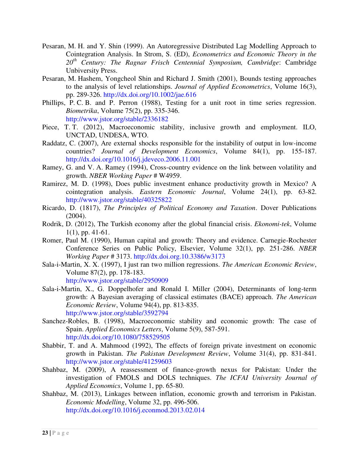- Pesaran, M. H. and Y. Shin (1999). An Autoregressive Distributed Lag Modelling Approach to Cointegration Analysis. In Strom, S. (ED), *Econometrics and Economic Theory in the 20th Century: The Ragnar Frisch Centennial Symposium, Cambridge*: Cambridge Unbiversity Press.
- Pesaran, M. Hashem, Yongcheol Shin and Richard J. Smith (2001), Bounds testing approaches to the analysis of level relationships. *Journal of Applied Econometrics*, Volume 16(3), pp. 289-326.<http://dx.doi.org/10.1002/jae.616>
- Phillips, P. C. B. and P. Perron (1988), Testing for a unit root in time series regression. *Biometrika*, Volume 75(2), pp. 335-346. <http://www.jstor.org/stable/2336182>
- Piece, T. T. (2012), Macroeconomic stability, inclusive growth and employment. ILO, UNCTAD, UNDESA, WTO.
- Raddatz, C. (2007), Are external shocks responsible for the instability of output in low-income countries? *Journal of Development Economics*, Volume 84(1), pp. 155-187. <http://dx.doi.org/10.1016/j.jdeveco.2006.11.001>
- Ramey, G. and V. A. Ramey (1994), Cross-country evidence on the link between volatility and growth. *NBER Working Paper* # W4959.
- Ramirez, M. D. (1998), Does public investment enhance productivity growth in Mexico? A cointegration analysis. *Eastern Economic Journal*, Volume 24(1), pp. 63-82. <http://www.jstor.org/stable/40325822>
- Ricardo, D. (1817), *The Principles of Political Economy and Taxation*. Dover Publications (2004).
- Rodrik, D. (2012), The Turkish economy after the global financial crisis. *Ekonomi-tek*, Volume 1(1), pp. 41-61.
- Romer, Paul M. (1990), Human capital and growth: Theory and evidence. Carnegie-Rochester Conference Series on Public Policy, Elsevier, Volume 32(1), pp. 251-286. *NBER Working Paper* # 3173.<http://dx.doi.org.10.3386/w3173>
- Sala-i-Martin, X. X. (1997), I just ran two million regressions. *The American Economic Review*, Volume 87(2), pp. 178-183.

<http://www.jstor.org/stable/2950909>

- Sala-i-Martin, X., G. Doppelhofer and Ronald I. Miller (2004), Determinants of long-term growth: A Bayesian averaging of classical estimates (BACE) approach. *The American Economic Review*, Volume 94(4), pp. 813-835. <http://www.jstor.org/stable/3592794>
- Sanchez-Robles, B. (1998), Macroeconomic stability and economic growth: The case of Spain. *Applied Economics Letters*, Volume 5(9), 587-591. <http://dx.doi.org/10.1080/758529505>
- Shabbir, T. and A. Mahmood (1992), The effects of foreign private investment on economic growth in Pakistan. *The Pakistan Development Review*, Volume 31(4), pp. 831-841. <http://www.jstor.org/stable/41259603>
- Shahbaz, M. (2009), A reassessment of finance-growth nexus for Pakistan: Under the investigation of FMOLS and DOLS techniques. *The ICFAI University Journal of Applied Economics*, Volume 1, pp. 65-80.
- Shahbaz, M. (2013), Linkages between inflation, economic growth and terrorism in Pakistan. *Economic Modelling*, Volume 32, pp. 496-506. <http://dx.doi.org/10.1016/j.econmod.2013.02.014>